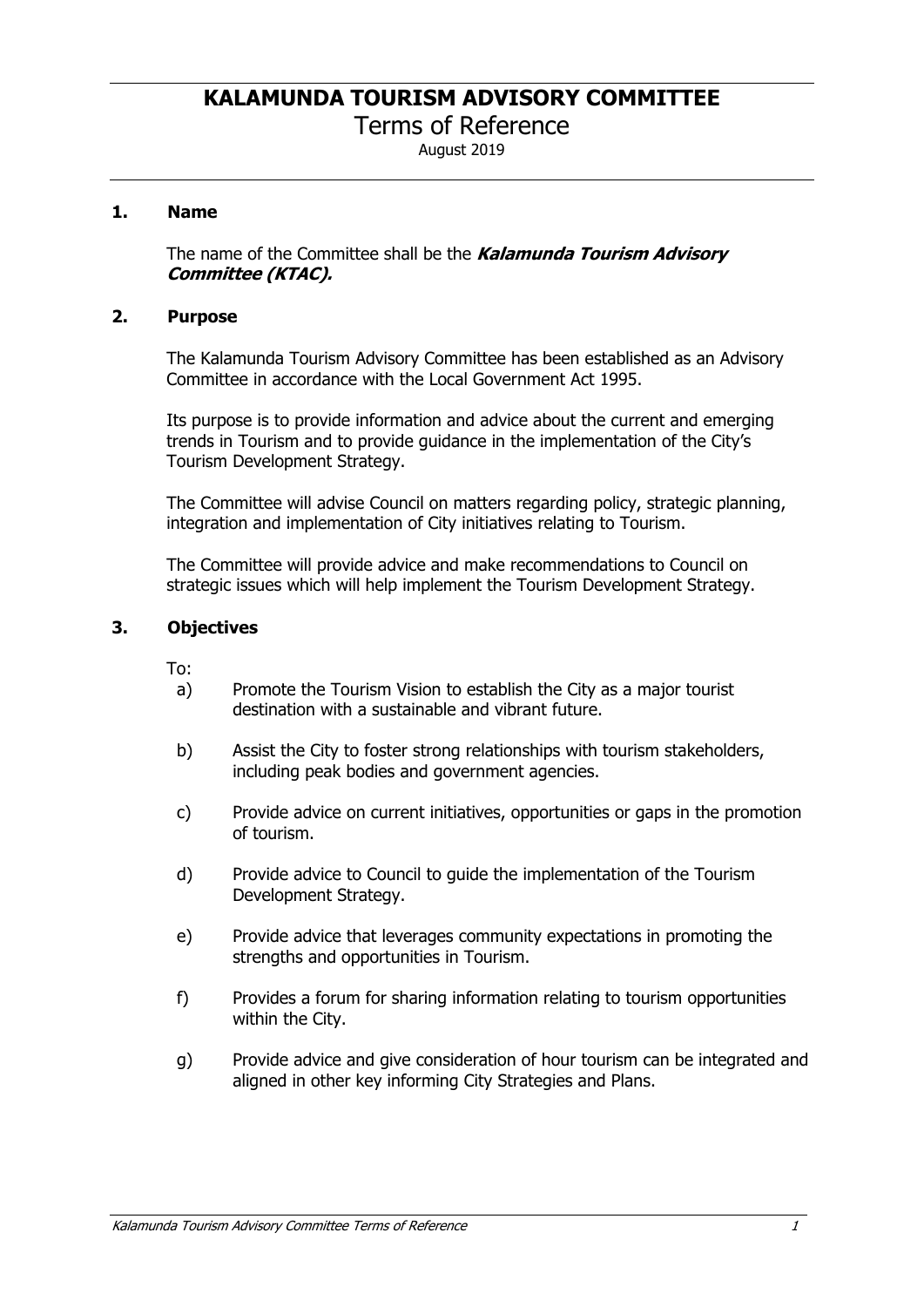Terms of Reference

August 2019

## **1. Name**

The name of the Committee shall be the *Kalamunda Tourism Advisory Committee (KTAC).*

#### **2. Purpose**

The Kalamunda Tourism Advisory Committee has been established as an Advisory Committee in accordance with the Local Government Act 1995.

Its purpose is to provide information and advice about the current and emerging trends in Tourism and to provide guidance in the implementation of the City's Tourism Development Strategy.

The Committee will advise Council on matters regarding policy, strategic planning, integration and implementation of City initiatives relating to Tourism.

The Committee will provide advice and make recommendations to Council on strategic issues which will help implement the Tourism Development Strategy.

## **3. Objectives**

To:

- a) Promote the Tourism Vision to establish the City as a major tourist destination with a sustainable and vibrant future.
- b) Assist the City to foster strong relationships with tourism stakeholders, including peak bodies and government agencies.
- c) Provide advice on current initiatives, opportunities or gaps in the promotion of tourism.
- d) Provide advice to Council to guide the implementation of the Tourism Development Strategy.
- e) Provide advice that leverages community expectations in promoting the strengths and opportunities in Tourism.
- f) Provides a forum for sharing information relating to tourism opportunities within the City.
- g) Provide advice and give consideration of hour tourism can be integrated and aligned in other key informing City Strategies and Plans.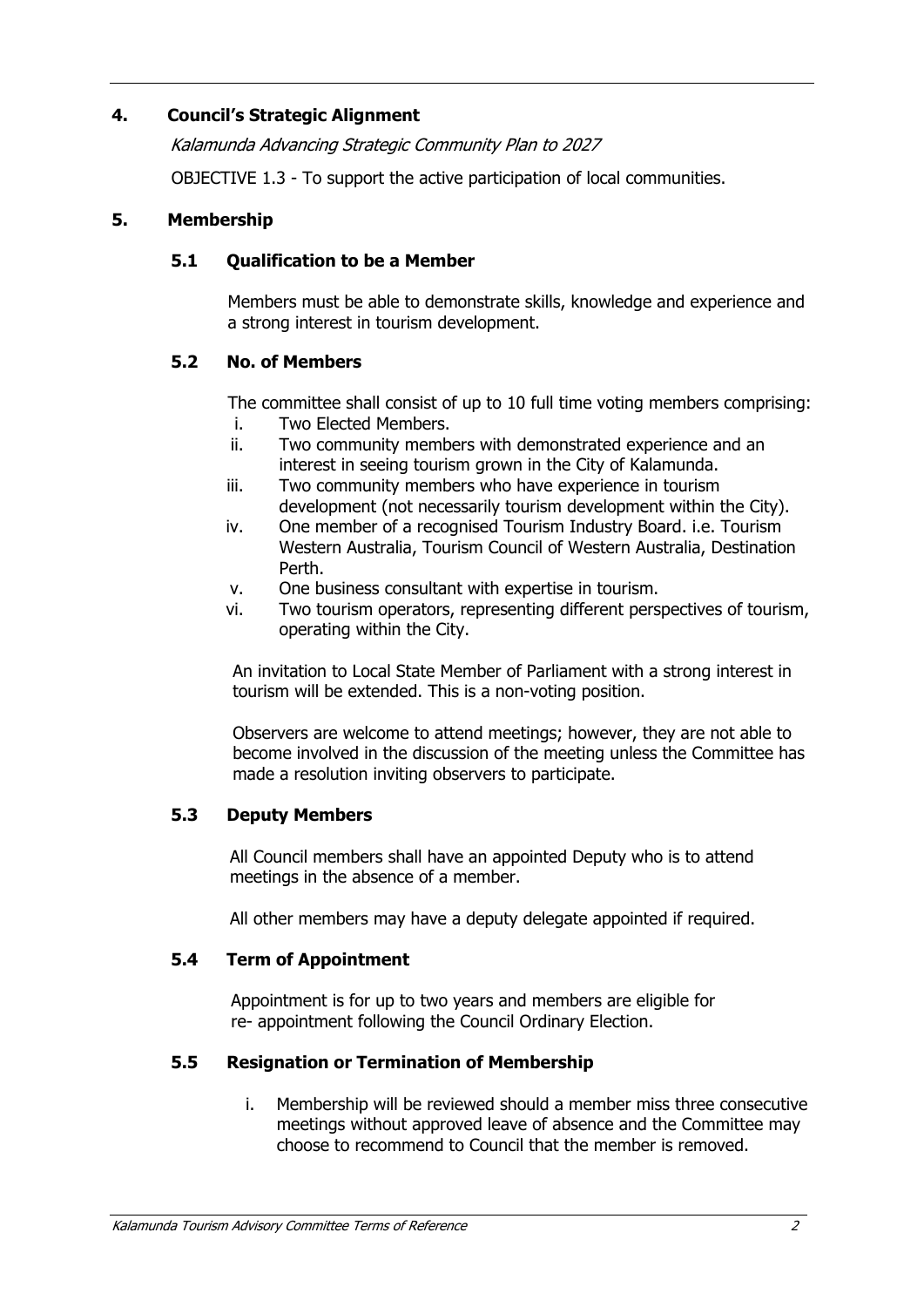## **4. Council's Strategic Alignment**

*Kalamunda Advancing Strategic Community Plan to 2027* 

OBJECTIVE 1.3 - To support the active participation of local communities.

#### **5. Membership**

#### **5.1 Qualification to be a Member**

Members must be able to demonstrate skills, knowledge and experience and a strong interest in tourism development.

#### **5.2 No. of Members**

The committee shall consist of up to 10 full time voting members comprising:

- i. Two Elected Members.
- ii. Two community members with demonstrated experience and an interest in seeing tourism grown in the City of Kalamunda.
- iii. Two community members who have experience in tourism development (not necessarily tourism development within the City).
- iv. One member of a recognised Tourism Industry Board. i.e. Tourism Western Australia, Tourism Council of Western Australia, Destination Perth.
- v. One business consultant with expertise in tourism.
- vi. Two tourism operators, representing different perspectives of tourism, operating within the City.

An invitation to Local State Member of Parliament with a strong interest in tourism will be extended. This is a non-voting position.

Observers are welcome to attend meetings; however, they are not able to become involved in the discussion of the meeting unless the Committee has made a resolution inviting observers to participate.

## **5.3 Deputy Members**

All Council members shall have an appointed Deputy who is to attend meetings in the absence of a member.

All other members may have a deputy delegate appointed if required.

#### **5.4 Term of Appointment**

Appointment is for up to two years and members are eligible for re- appointment following the Council Ordinary Election.

## **5.5 Resignation or Termination of Membership**

i. Membership will be reviewed should a member miss three consecutive meetings without approved leave of absence and the Committee may choose to recommend to Council that the member is removed.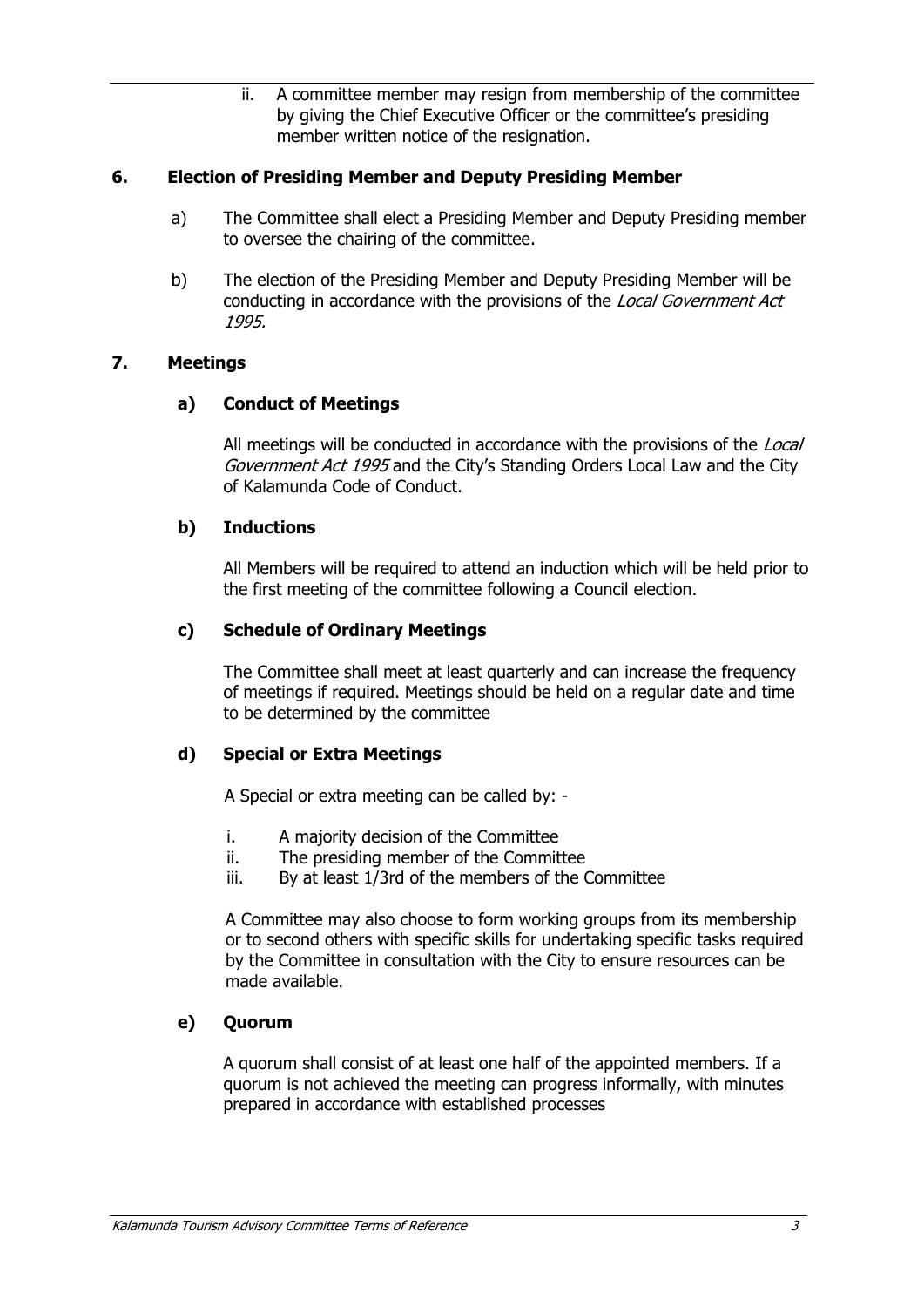ii. A committee member may resign from membership of the committee by giving the Chief Executive Officer or the committee's presiding member written notice of the resignation.

# **6. Election of Presiding Member and Deputy Presiding Member**

- a) The Committee shall elect a Presiding Member and Deputy Presiding member to oversee the chairing of the committee.
- b) The election of the Presiding Member and Deputy Presiding Member will be conducting in accordance with the provisions of the *Local Government Act 1995.*

## **7. Meetings**

# **a) Conduct of Meetings**

All meetings will be conducted in accordance with the provisions of the *Local Government Act 1995* and the City's Standing Orders Local Law and the City of Kalamunda Code of Conduct.

## **b) Inductions**

All Members will be required to attend an induction which will be held prior to the first meeting of the committee following a Council election.

## **c) Schedule of Ordinary Meetings**

The Committee shall meet at least quarterly and can increase the frequency of meetings if required. Meetings should be held on a regular date and time to be determined by the committee

## **d) Special or Extra Meetings**

A Special or extra meeting can be called by: -

- i. A majority decision of the Committee
- ii. The presiding member of the Committee
- iii. By at least 1/3rd of the members of the Committee

A Committee may also choose to form working groups from its membership or to second others with specific skills for undertaking specific tasks required by the Committee in consultation with the City to ensure resources can be made available.

## **e) Quorum**

A quorum shall consist of at least one half of the appointed members. If a quorum is not achieved the meeting can progress informally, with minutes prepared in accordance with established processes